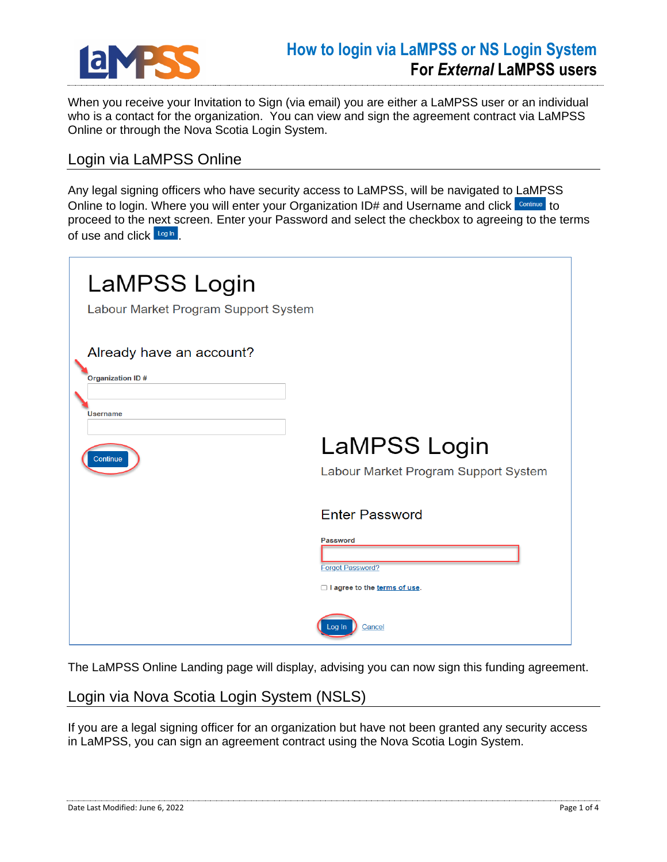

When you receive your Invitation to Sign (via email) you are either a LaMPSS user or an individual who is a contact for the organization. You can view and sign the agreement contract via LaMPSS Online or through the Nova Scotia Login System.

## Login via LaMPSS Online

Any legal signing officers who have security access to LaMPSS, will be navigated to LaMPSS Online to login. Where you will enter your Organization ID# and Username and click Continue to proceed to the next screen. Enter your Password and select the checkbox to agreeing to the terms of use and click Log in

| LaMPSS Login<br>Labour Market Program Support System |                                                                                                       |
|------------------------------------------------------|-------------------------------------------------------------------------------------------------------|
| Already have an account?<br><b>Organization ID#</b>  |                                                                                                       |
| <b>Username</b><br>Continue                          | <b>LaMPSS Login</b><br>Labour Market Program Support System                                           |
|                                                      | <b>Enter Password</b><br><b>Password</b><br><b>Forgot Password?</b><br>□ I agree to the terms of use. |
|                                                      | Cancel<br>Loa In                                                                                      |

The LaMPSS Online Landing page will display, advising you can now sign this funding agreement.

## Login via Nova Scotia Login System (NSLS)

If you are a legal signing officer for an organization but have not been granted any security access in LaMPSS, you can sign an agreement contract using the Nova Scotia Login System.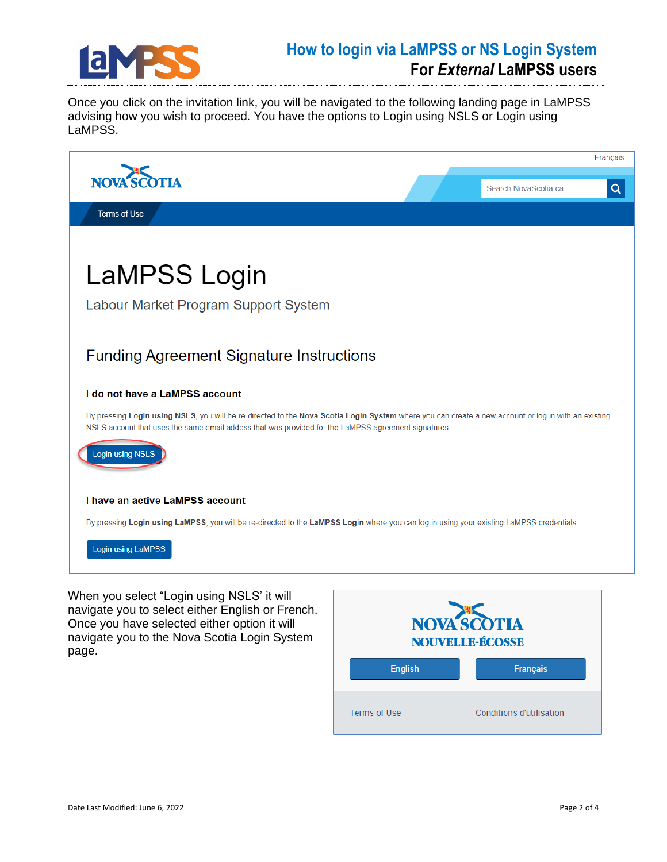

## **How to login via LaMPSS or NS Login System For** *External* **LaMPSS users**

Once you click on the invitation link, you will be navigated to the following landing page in LaMPSS advising how you wish to proceed. You have the options to Login using NSLS or Login using LaMPSS.



navigate you to select either English or French. Once you have selected either option it will navigate you to the Nova Scotia Login System page.

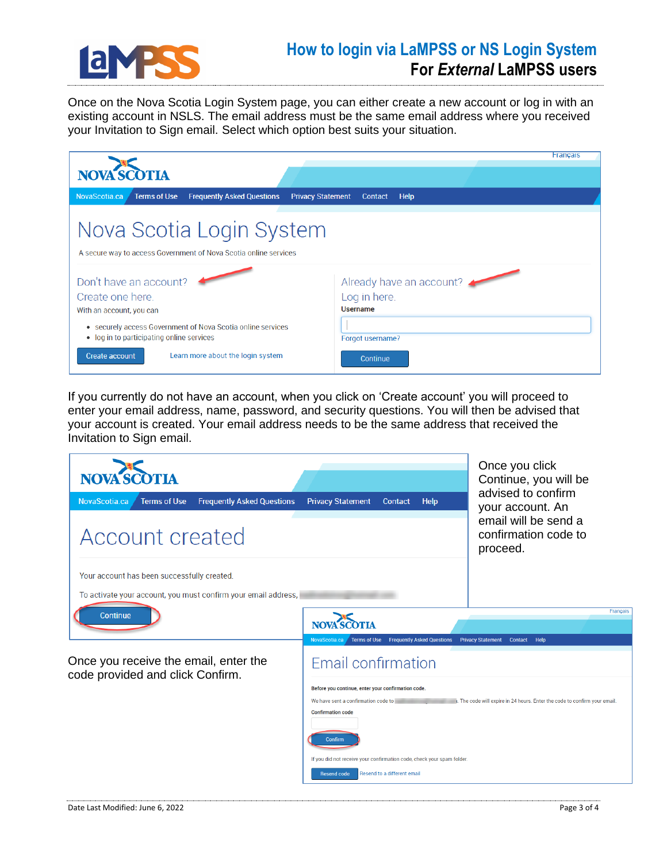

## **How to login via LaMPSS or NS Login System For** *External* **LaMPSS users**

Once on the Nova Scotia Login System page, you can either create a new account or log in with an existing account in NSLS. The email address must be the same email address where you received your Invitation to Sign email. Select which option best suits your situation.

|                                                                                                                                       | <b>Français</b>                                             |
|---------------------------------------------------------------------------------------------------------------------------------------|-------------------------------------------------------------|
| NOVA SCOTIA                                                                                                                           |                                                             |
| <b>Terms of Use</b><br>NovaScotia.ca<br><b>Frequently Asked Questions</b><br><b>Privacy Statement</b>                                 | Contact<br><b>Help</b>                                      |
| Nova Scotia Login System<br>A secure way to access Government of Nova Scotia online services                                          |                                                             |
| Don't have an account?<br>Create one here.<br>With an account, you can<br>• securely access Government of Nova Scotia online services | Already have an account?<br>Log in here.<br><b>Username</b> |
| . log in to participating online services<br>Learn more about the login system<br><b>Create account</b>                               | Forgot username?<br><b>Continue</b>                         |

If you currently do not have an account, when you click on 'Create account' you will proceed to enter your email address, name, password, and security questions. You will then be advised that your account is created. Your email address needs to be the same address that received the Invitation to Sign email.

| <b>NOVA SCOTIA</b>                                                        |                                                                           | Once you click<br>Continue, you will be<br>advised to confirm             |  |  |
|---------------------------------------------------------------------------|---------------------------------------------------------------------------|---------------------------------------------------------------------------|--|--|
| <b>Terms of Use</b><br><b>Frequently Asked Questions</b><br>NovaScotia.ca | <b>Privacy Statement</b><br><b>Help</b><br>Contact                        | your account. An                                                          |  |  |
| Account created                                                           |                                                                           | email will be send a<br>confirmation code to<br>proceed.                  |  |  |
| Your account has been successfully created.                               |                                                                           |                                                                           |  |  |
| To activate your account, you must confirm your email address,            |                                                                           |                                                                           |  |  |
| <b>Continue</b>                                                           |                                                                           | Français                                                                  |  |  |
|                                                                           | <b>Frequently Asked Questions</b><br>NovaScotia.ca<br><b>Terms of Use</b> | <b>Privacy Statement</b><br>Contact Help                                  |  |  |
| Once you receive the email, enter the<br>code provided and click Confirm. | Email confirmation                                                        |                                                                           |  |  |
|                                                                           | Before you continue, enter your confirmation code.                        |                                                                           |  |  |
|                                                                           | We have sent a confirmation code to<br><b>Confirmation code</b>           | . The code will expire in 24 hours. Enter the code to confirm your email. |  |  |
|                                                                           |                                                                           |                                                                           |  |  |
|                                                                           | Confirm                                                                   |                                                                           |  |  |
|                                                                           | If you did not receive your confirmation code, check your spam folder.    |                                                                           |  |  |
|                                                                           | Resend to a different email<br><b>Resend code</b>                         |                                                                           |  |  |